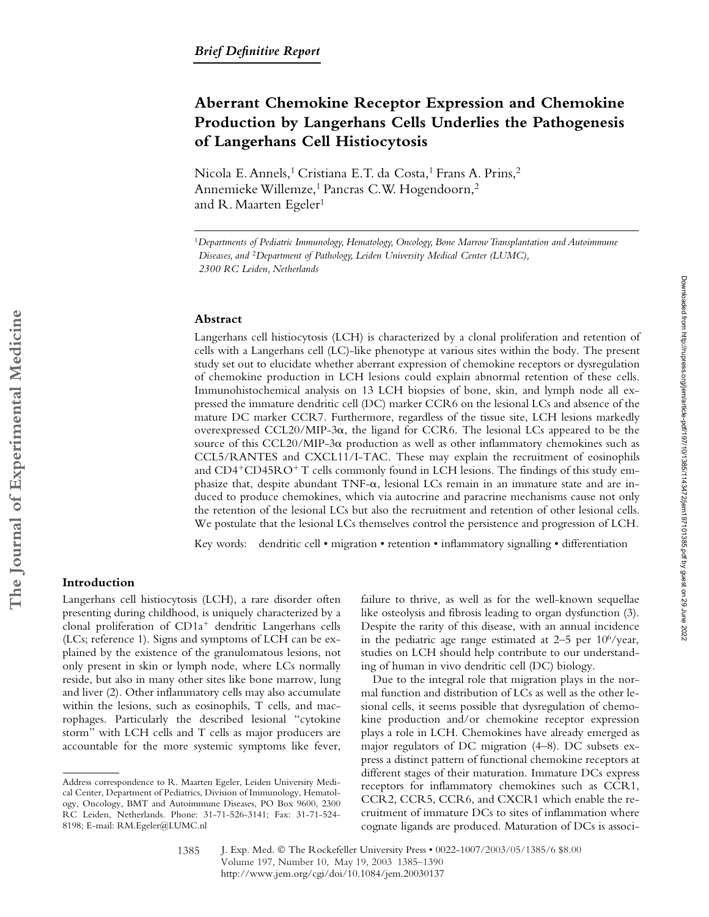# **Aberrant Chemokine Receptor Expression and Chemokine Production by Langerhans Cells Underlies the Pathogenesis of Langerhans Cell Histiocytosis**

Nicola E. Annels,<sup>1</sup> Cristiana E.T. da Costa,<sup>1</sup> Frans A. Prins,<sup>2</sup> Annemieke Willemze,<sup>1</sup> Pancras C.W. Hogendoorn,<sup>2</sup> and R. Maarten Egeler<sup>1</sup>

#### **Abstract**

Langerhans cell histiocytosis (LCH) is characterized by a clonal proliferation and retention of cells with a Langerhans cell (LC)-like phenotype at various sites within the body. The present study set out to elucidate whether aberrant expression of chemokine receptors or dysregulation of chemokine production in LCH lesions could explain abnormal retention of these cells. Immunohistochemical analysis on 13 LCH biopsies of bone, skin, and lymph node all expressed the immature dendritic cell (DC) marker CCR6 on the lesional LCs and absence of the mature DC marker CCR7. Furthermore, regardless of the tissue site, LCH lesions markedly overexpressed  $CL20/MIP-3\alpha$ , the ligand for CCR6. The lesional LCs appeared to be the source of this CCL20/MIP-3 $\alpha$  production as well as other inflammatory chemokines such as CCL5/RANTES and CXCL11/I-TAC. These may explain the recruitment of eosinophils and  $CD4+CD45RO+T$  cells commonly found in LCH lesions. The findings of this study emphasize that, despite abundant TNF- $\alpha$ , lesional LCs remain in an immature state and are induced to produce chemokines, which via autocrine and paracrine mechanisms cause not only the retention of the lesional LCs but also the recruitment and retention of other lesional cells. We postulate that the lesional LCs themselves control the persistence and progression of LCH.

Key words: dendritic cell • migration • retention • inflammatory signalling • differentiation

### **Introduction**

**The Journal of Experimental Medicine**

The Journal of Experimental Medicine

Langerhans cell histiocytosis (LCH), a rare disorder often presenting during childhood, is uniquely characterized by a clonal proliferation of  $CD1a<sup>+</sup>$  dendritic Langerhans cells (LCs; reference 1). Signs and symptoms of LCH can be explained by the existence of the granulomatous lesions, not only present in skin or lymph node, where LCs normally reside, but also in many other sites like bone marrow, lung and liver (2). Other inflammatory cells may also accumulate within the lesions, such as eosinophils, T cells, and macrophages. Particularly the described lesional "cytokine storm" with LCH cells and T cells as major producers are accountable for the more systemic symptoms like fever,

failure to thrive, as well as for the well-known sequellae like osteolysis and fibrosis leading to organ dysfunction (3). Despite the rarity of this disease, with an annual incidence in the pediatric age range estimated at  $2-5$  per  $10^6$ /year, studies on LCH should help contribute to our understanding of human in vivo dendritic cell (DC) biology.

Due to the integral role that migration plays in the normal function and distribution of LCs as well as the other lesional cells, it seems possible that dysregulation of chemokine production and/or chemokine receptor expression plays a role in LCH. Chemokines have already emerged as major regulators of DC migration (4–8). DC subsets express a distinct pattern of functional chemokine receptors at different stages of their maturation. Immature DCs express receptors for inflammatory chemokines such as CCR1, CCR2, CCR5, CCR6, and CXCR1 which enable the recruitment of immature DCs to sites of inflammation where cognate ligands are produced. Maturation of DCs is associ-

<sup>1</sup>*Departments of Pediatric Immunology, Hematology, Oncology, Bone Marrow Transplantation and Autoimmune Diseases, and* <sup>2</sup>*Department of Pathology, Leiden University Medical Center (LUMC), 2300 RC Leiden, Netherlands*

Address correspondence to R. Maarten Egeler, Leiden University Medical Center, Department of Pediatrics, Division of Immunology, Hematology, Oncology, BMT and Autoimmune Diseases, PO Box 9600, 2300 RC Leiden, Netherlands. Phone: 31-71-526-3141; Fax: 31-71-524- 8198; E-mail: RM.Egeler@LUMC.nl

<sup>1385</sup>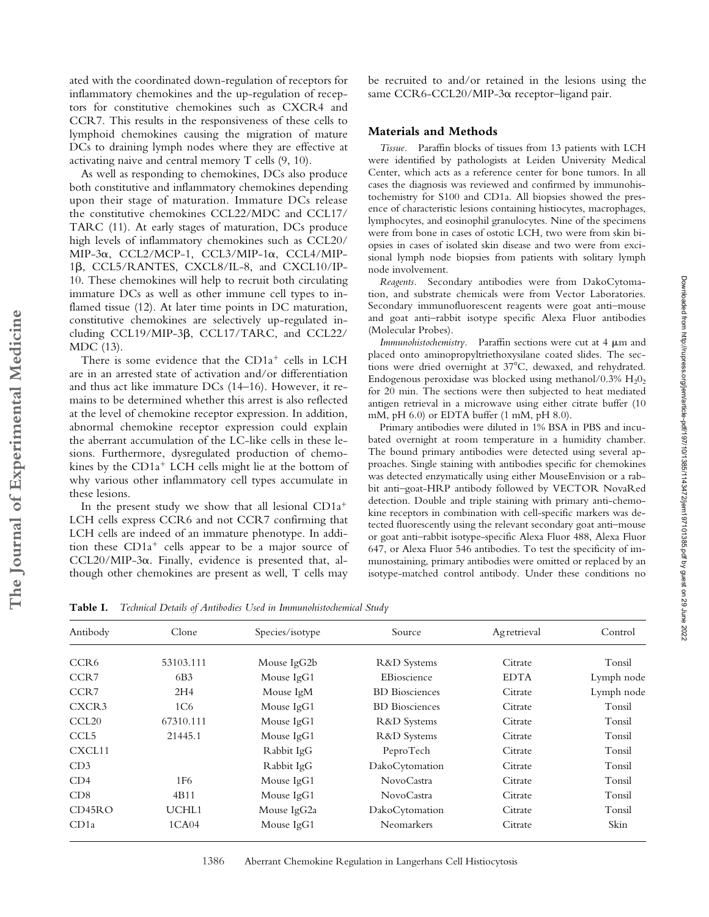ated with the coordinated down-regulation of receptors for inflammatory chemokines and the up-regulation of receptors for constitutive chemokines such as CXCR4 and CCR7. This results in the responsiveness of these cells to lymphoid chemokines causing the migration of mature DCs to draining lymph nodes where they are effective at activating naive and central memory T cells (9, 10).

As well as responding to chemokines, DCs also produce both constitutive and inflammatory chemokines depending upon their stage of maturation. Immature DCs release the constitutive chemokines CCL22/MDC and CCL17/ TARC (11). At early stages of maturation, DCs produce high levels of inflammatory chemokines such as CCL20/ MIP-3α, CCL2/MCP-1, CCL3/MIP-1α, CCL4/MIP-1β, CCL5/RANTES, CXCL8/IL-8, and CXCL10/IP-10. These chemokines will help to recruit both circulating immature DCs as well as other immune cell types to inflamed tissue (12). At later time points in DC maturation, constitutive chemokines are selectively up-regulated including CCL19/MIP-3 $\beta$ , CCL17/TARC, and CCL22/ MDC (13).

There is some evidence that the  $CD1a<sup>+</sup>$  cells in LCH are in an arrested state of activation and/or differentiation and thus act like immature DCs (14–16). However, it remains to be determined whether this arrest is also reflected at the level of chemokine receptor expression. In addition, abnormal chemokine receptor expression could explain the aberrant accumulation of the LC-like cells in these lesions. Furthermore, dysregulated production of chemokines by the  $CD1a^+$  LCH cells might lie at the bottom of why various other inflammatory cell types accumulate in these lesions.

**The Journal of Experimental Medicine**

The Journal of Experimental Medicine

In the present study we show that all lesional  $CD1a^+$ LCH cells express CCR6 and not CCR7 confirming that LCH cells are indeed of an immature phenotype. In addition these  $CD1a<sup>+</sup>$  cells appear to be a major source of  $CCL20/MIP-3\alpha$ . Finally, evidence is presented that, although other chemokines are present as well, T cells may

be recruited to and/or retained in the lesions using the same CCR6-CCL20/MIP-3a receptor-ligand pair.

#### **Materials and Methods**

*Tissue.* Paraffin blocks of tissues from 13 patients with LCH were identified by pathologists at Leiden University Medical Center, which acts as a reference center for bone tumors. In all cases the diagnosis was reviewed and confirmed by immunohistochemistry for S100 and CD1a. All biopsies showed the presence of characteristic lesions containing histiocytes, macrophages, lymphocytes, and eosinophil granulocytes. Nine of the specimens were from bone in cases of ostotic LCH, two were from skin biopsies in cases of isolated skin disease and two were from excisional lymph node biopsies from patients with solitary lymph node involvement.

*Reagents.* Secondary antibodies were from DakoCytomation, and substrate chemicals were from Vector Laboratories. Secondary immunofluorescent reagents were goat anti–mouse and goat anti–rabbit isotype specific Alexa Fluor antibodies (Molecular Probes).

*Immunohistochemistry*. Paraffin sections were cut at 4  $\mu$ m and placed onto aminopropyltriethoxysilane coated slides. The sections were dried overnight at 37°C, dewaxed, and rehydrated. Endogenous peroxidase was blocked using methanol/0.3%  $H_2O_2$ for 20 min. The sections were then subjected to heat mediated antigen retrieval in a microwave using either citrate buffer (10 mM, pH 6.0) or EDTA buffer (1 mM, pH 8.0).

Primary antibodies were diluted in 1% BSA in PBS and incubated overnight at room temperature in a humidity chamber. The bound primary antibodies were detected using several approaches. Single staining with antibodies specific for chemokines was detected enzymatically using either MouseEnvision or a rabbit anti–goat-HRP antibody followed by VECTOR NovaRed detection. Double and triple staining with primary anti-chemokine receptors in combination with cell-specific markers was detected fluorescently using the relevant secondary goat anti–mouse or goat anti–rabbit isotype-specific Alexa Fluor 488, Alexa Fluor 647, or Alexa Fluor 546 antibodies. To test the specificity of immunostaining, primary antibodies were omitted or replaced by an isotype-matched control antibody. Under these conditions no

**Table I.** *Technical Details of Antibodies Used in Immunohistochemical Study*

| Antibody          | Clone           | Species/isotype | Source                 | <b>Agretrieval</b> | Control    |
|-------------------|-----------------|-----------------|------------------------|--------------------|------------|
| CCR <sub>6</sub>  | 53103.111       | Mouse IgG2b     | <b>R&amp;D</b> Systems | Citrate            | Tonsil     |
| CCR <sub>7</sub>  | 6B3             | Mouse IgG1      | EBioscience            | <b>EDTA</b>        | Lymph node |
| CCR7              | 2H4             | Mouse IgM       | <b>BD</b> Biosciences  | Citrate            | Lymph node |
| CXCR3             | 1C <sub>6</sub> | Mouse IgG1      | <b>BD</b> Biosciences  | Citrate            | Tonsil     |
| CCL <sub>20</sub> | 67310.111       | Mouse IgG1      | <b>R&amp;D</b> Systems | Citrate            | Tonsil     |
| CCL <sub>5</sub>  | 21445.1         | Mouse IgG1      | <b>R&amp;D</b> Systems | Citrate            | Tonsil     |
| CXCL11            |                 | Rabbit IgG      | PeproTech              | Citrate            | Tonsil     |
| CD3               |                 | Rabbit IgG      | DakoCytomation         | Citrate            | Tonsil     |
| CD4               | 1F6             | Mouse IgG1      | <b>NovoCastra</b>      | Citrate            | Tonsil     |
| CD8               | 4B11            | Mouse IgG1      | <b>NovoCastra</b>      | Citrate            | Tonsil     |
| CD45RO            | UCHL1           | Mouse IgG2a     | DakoCytomation         | Citrate            | Tonsil     |
| CD1a              | 1CA04           | Mouse IgG1      | <b>Neomarkers</b>      | Citrate            | Skin       |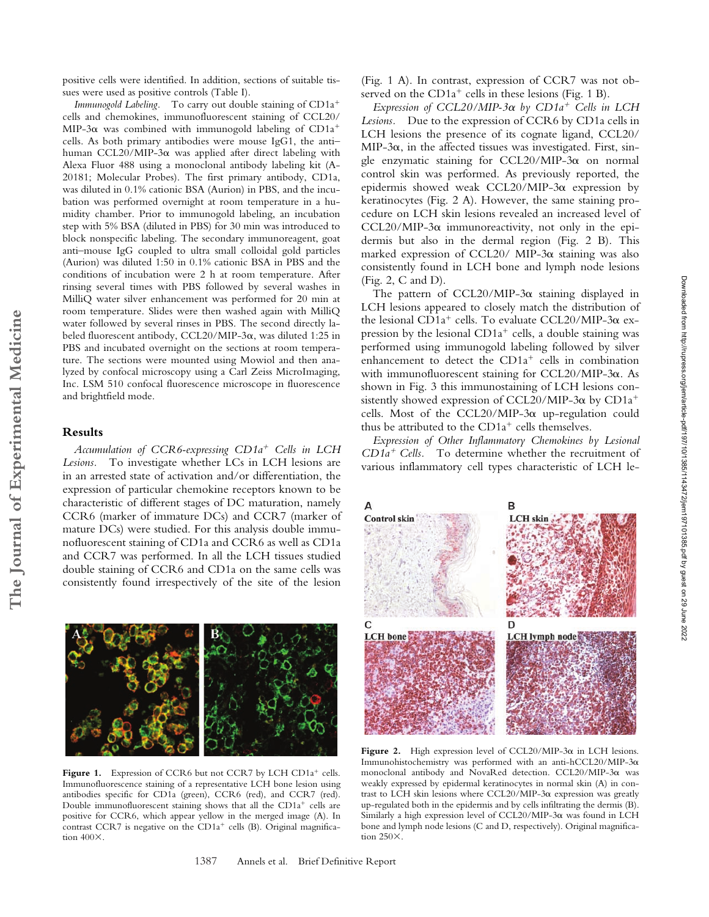positive cells were identified. In addition, sections of suitable tissues were used as positive controls (Table I).

*Immunogold Labeling.* To carry out double staining of CD1a cells and chemokines, immunofluorescent staining of CCL20/ MIP-3 $\alpha$  was combined with immunogold labeling of CD1a<sup>+</sup> cells. As both primary antibodies were mouse IgG1, the anti– human  $CCL20/MIP-3\alpha$  was applied after direct labeling with Alexa Fluor 488 using a monoclonal antibody labeling kit (A-20181; Molecular Probes). The first primary antibody, CD1a, was diluted in 0.1% cationic BSA (Aurion) in PBS, and the incubation was performed overnight at room temperature in a humidity chamber. Prior to immunogold labeling, an incubation step with 5% BSA (diluted in PBS) for 30 min was introduced to block nonspecific labeling. The secondary immunoreagent, goat anti–mouse IgG coupled to ultra small colloidal gold particles (Aurion) was diluted 1:50 in 0.1% cationic BSA in PBS and the conditions of incubation were 2 h at room temperature. After rinsing several times with PBS followed by several washes in MilliQ water silver enhancement was performed for 20 min at room temperature. Slides were then washed again with MilliQ water followed by several rinses in PBS. The second directly labeled fluorescent antibody, CCL20/MIP-3 $\alpha$ , was diluted 1:25 in PBS and incubated overnight on the sections at room temperature. The sections were mounted using Mowiol and then analyzed by confocal microscopy using a Carl Zeiss MicroImaging, Inc. LSM 510 confocal fluorescence microscope in fluorescence and brightfield mode.

### **Results**

**The Journal of Experimental Medicine**

The Journal of Experimental Medicine

Accumulation of CCR6-expressing CD1a<sup>+</sup> Cells in LCH *Lesions.* To investigate whether LCs in LCH lesions are in an arrested state of activation and/or differentiation, the expression of particular chemokine receptors known to be characteristic of different stages of DC maturation, namely CCR6 (marker of immature DCs) and CCR7 (marker of mature DCs) were studied. For this analysis double immunofluorescent staining of CD1a and CCR6 as well as CD1a and CCR7 was performed. In all the LCH tissues studied double staining of CCR6 and CD1a on the same cells was consistently found irrespectively of the site of the lesion



Figure 1. Expression of CCR6 but not CCR7 by LCH CD1a<sup>+</sup> cells. Immunofluorescence staining of a representative LCH bone lesion using antibodies specific for CD1a (green), CCR6 (red), and CCR7 (red). Double immunofluorescent staining shows that all the  $CD1a<sup>+</sup>$  cells are positive for CCR6, which appear yellow in the merged image (A). In contrast CCR7 is negative on the CD1a<sup>+</sup> cells (B). Original magnification  $400\times$ .

(Fig. 1 A). In contrast, expression of CCR7 was not observed on the  $CD1a<sup>+</sup>$  cells in these lesions (Fig. 1 B).

Expression of CCL20/MIP-3 $\alpha$  by CD1a<sup>+</sup> Cells in LCH *Lesions.* Due to the expression of CCR6 by CD1a cells in LCH lesions the presence of its cognate ligand, CCL20/  $MIP-3\alpha$ , in the affected tissues was investigated. First, single enzymatic staining for CCL20/MIP-3 $\alpha$  on normal control skin was performed. As previously reported, the epidermis showed weak CCL20/MIP-3 $\alpha$  expression by keratinocytes (Fig. 2 A). However, the same staining procedure on LCH skin lesions revealed an increased level of  $CCL20/MIP-3\alpha$  immunoreactivity, not only in the epidermis but also in the dermal region (Fig. 2 B). This marked expression of CCL20/ MIP-3 $\alpha$  staining was also consistently found in LCH bone and lymph node lesions (Fig. 2, C and D).

The pattern of CCL20/MIP-3 $\alpha$  staining displayed in LCH lesions appeared to closely match the distribution of the lesional CD1a<sup>+</sup> cells. To evaluate CCL20/MIP-3 $\alpha$  expression by the lesional  $CD1a<sup>+</sup>$  cells, a double staining was performed using immunogold labeling followed by silver enhancement to detect the  $CD1a<sup>+</sup>$  cells in combination with immunofluorescent staining for CCL20/MIP-3a. As shown in Fig. 3 this immunostaining of LCH lesions consistently showed expression of CCL20/MIP-3 $\alpha$  by CD1a<sup>+</sup> cells. Most of the CCL20/MIP-3 $\alpha$  up-regulation could thus be attributed to the  $CD1a<sup>+</sup>$  cells themselves.

*Expression of Other Inflammatory Chemokines by Lesional CD1a<sup>+</sup> Cells*. To determine whether the recruitment of various inflammatory cell types characteristic of LCH le-



Figure 2. High expression level of CCL20/MIP-3 $\alpha$  in LCH lesions. Immunohistochemistry was performed with an anti-hCCL20/MIP-3 $\alpha$ monoclonal antibody and NovaRed detection. CCL20/MIP-3a was weakly expressed by epidermal keratinocytes in normal skin (A) in contrast to LCH skin lesions where  $CCL20/MIP-3\alpha$  expression was greatly up-regulated both in the epidermis and by cells infiltrating the dermis (B). Similarly a high expression level of  $CCL20/MIP-3\alpha$  was found in LCH bone and lymph node lesions (C and D, respectively). Original magnification  $250X$ .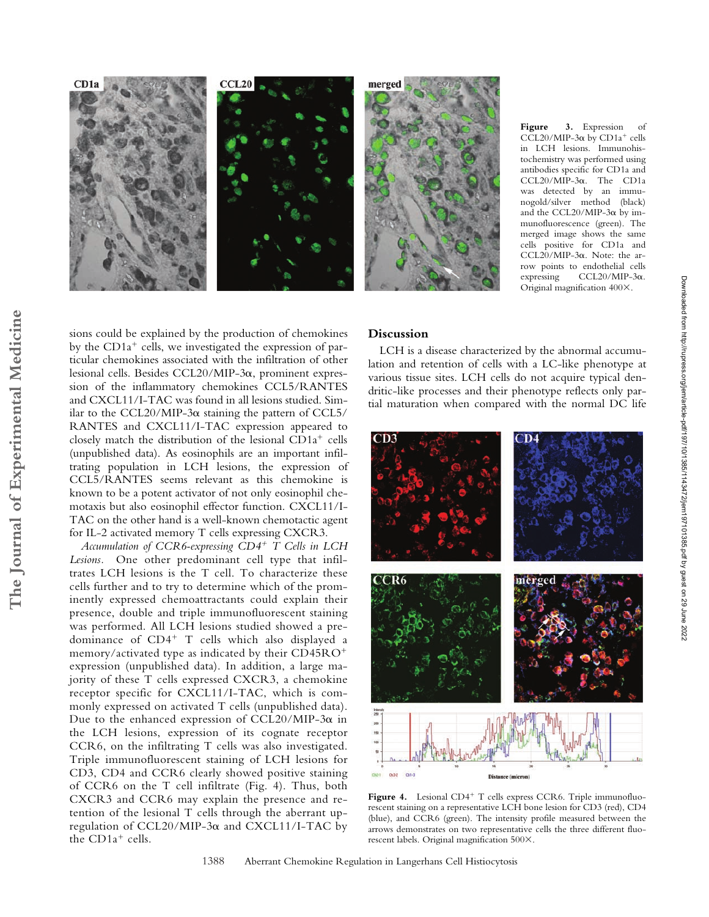

**Figure 3.** Expression of  $CCL20/MIP-3\alpha$  by  $CD1a^+$  cells in LCH lesions. Immunohistochemistry was performed using antibodies specific for CD1a and  $CCL20/MIP-3\alpha$ . The CD1a was detected by an immu-<br>nogold/silver method (black) nogold/silver method and the CCL20/MIP-3 $\alpha$  by immunofluorescence (green). The merged image shows the same cells positive for CD1a and  $CCL20/MIP-3\alpha$ . Note: the arrow points to endothelial cells<br>expressing  $\text{CCL20/MIP-3}\alpha$ .  $expressing CCL20/MIP-3\alpha.$ Original magnification 400X.

sions could be explained by the production of chemokines by the  $CD1a<sup>+</sup>$  cells, we investigated the expression of particular chemokines associated with the infiltration of other lesional cells. Besides CCL20/MIP-3a, prominent expression of the inflammatory chemokines CCL5/RANTES and CXCL11/I-TAC was found in all lesions studied. Similar to the CCL20/MIP-3 $\alpha$  staining the pattern of CCL5/ RANTES and CXCL11/I-TAC expression appeared to closely match the distribution of the lesional  $CD1a^+$  cells (unpublished data). As eosinophils are an important infiltrating population in LCH lesions, the expression of CCL5/RANTES seems relevant as this chemokine is known to be a potent activator of not only eosinophil chemotaxis but also eosinophil effector function. CXCL11/I-TAC on the other hand is a well-known chemotactic agent for IL-2 activated memory T cells expressing CXCR3.

*Accumulation of CCR6-expressing CD4 T Cells in LCH Lesions.* One other predominant cell type that infiltrates LCH lesions is the T cell. To characterize these cells further and to try to determine which of the prominently expressed chemoattractants could explain their presence, double and triple immunofluorescent staining was performed. All LCH lesions studied showed a predominance of  $CD4^+$  T cells which also displayed a memory/activated type as indicated by their CD45RO expression (unpublished data). In addition, a large majority of these T cells expressed CXCR3, a chemokine receptor specific for CXCL11/I-TAC, which is commonly expressed on activated T cells (unpublished data). Due to the enhanced expression of  $CCL20/MIP-3\alpha$  in the LCH lesions, expression of its cognate receptor CCR6, on the infiltrating T cells was also investigated. Triple immunofluorescent staining of LCH lesions for CD3, CD4 and CCR6 clearly showed positive staining of CCR6 on the T cell infiltrate (Fig. 4). Thus, both CXCR3 and CCR6 may explain the presence and retention of the lesional T cells through the aberrant up $regulation of CCL20/MIP-3\alpha$  and  $CXCL11/I-TAC$  by the  $CD1a^+$  cells.

## **Discussion**

LCH is a disease characterized by the abnormal accumulation and retention of cells with a LC-like phenotype at various tissue sites. LCH cells do not acquire typical dendritic-like processes and their phenotype reflects only partial maturation when compared with the normal DC life



Figure 4. Lesional CD4<sup>+</sup> T cells express CCR6. Triple immunofluorescent staining on a representative LCH bone lesion for CD3 (red), CD4 (blue), and CCR6 (green). The intensity profile measured between the arrows demonstrates on two representative cells the three different fluorescent labels. Original magnification 500 $\times$ .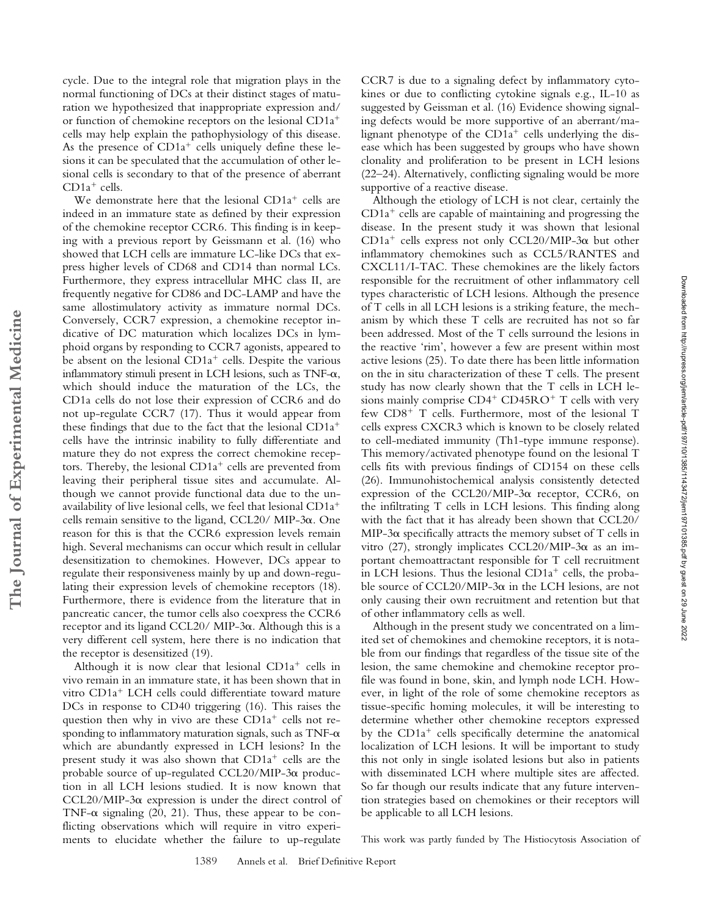cycle. Due to the integral role that migration plays in the normal functioning of DCs at their distinct stages of maturation we hypothesized that inappropriate expression and/ or function of chemokine receptors on the lesional CD1a cells may help explain the pathophysiology of this disease. As the presence of  $CD1a^+$  cells uniquely define these lesions it can be speculated that the accumulation of other lesional cells is secondary to that of the presence of aberrant  $CD1a<sup>+</sup>$  cells.

We demonstrate here that the lesional  $CD1a<sup>+</sup>$  cells are indeed in an immature state as defined by their expression of the chemokine receptor CCR6. This finding is in keeping with a previous report by Geissmann et al. (16) who showed that LCH cells are immature LC-like DCs that express higher levels of CD68 and CD14 than normal LCs. Furthermore, they express intracellular MHC class II, are frequently negative for CD86 and DC-LAMP and have the same allostimulatory activity as immature normal DCs. Conversely, CCR7 expression, a chemokine receptor indicative of DC maturation which localizes DCs in lymphoid organs by responding to CCR7 agonists, appeared to be absent on the lesional  $CD1a<sup>+</sup>$  cells. Despite the various inflammatory stimuli present in LCH lesions, such as TNF- $\alpha$ , which should induce the maturation of the LCs, the CD1a cells do not lose their expression of CCR6 and do not up-regulate CCR7 (17). Thus it would appear from these findings that due to the fact that the lesional CD1a cells have the intrinsic inability to fully differentiate and mature they do not express the correct chemokine receptors. Thereby, the lesional  $CD1a^+$  cells are prevented from leaving their peripheral tissue sites and accumulate. Although we cannot provide functional data due to the unavailability of live lesional cells, we feel that lesional CD1a cells remain sensitive to the ligand, CCL20/ MIP-3 $\alpha$ . One reason for this is that the CCR6 expression levels remain high. Several mechanisms can occur which result in cellular desensitization to chemokines. However, DCs appear to regulate their responsiveness mainly by up and down-regulating their expression levels of chemokine receptors (18). Furthermore, there is evidence from the literature that in pancreatic cancer, the tumor cells also coexpress the CCR6 receptor and its ligand CCL20/ MIP-3 $\alpha$ . Although this is a very different cell system, here there is no indication that the receptor is desensitized (19).

**The Journal of Experimental Medicine**

The Journal of Experimental Medicine

Although it is now clear that lesional  $CD1a<sup>+</sup>$  cells in vivo remain in an immature state, it has been shown that in vitro CD1a<sup>+</sup> LCH cells could differentiate toward mature DCs in response to CD40 triggering (16). This raises the question then why in vivo are these  $CD1a<sup>+</sup>$  cells not responding to inflammatory maturation signals, such as TNF- $\alpha$ which are abundantly expressed in LCH lesions? In the present study it was also shown that  $CD1a<sup>+</sup>$  cells are the probable source of up-regulated  $CCL20/MIP-3\alpha$  production in all LCH lesions studied. It is now known that  $CCL20/MIP-3\alpha$  expression is under the direct control of TNF- $\alpha$  signaling (20, 21). Thus, these appear to be conflicting observations which will require in vitro experiments to elucidate whether the failure to up-regulate

CCR7 is due to a signaling defect by inflammatory cytokines or due to conflicting cytokine signals e.g., IL-10 as suggested by Geissman et al. (16) Evidence showing signaling defects would be more supportive of an aberrant/malignant phenotype of the  $CD1a^{+}$  cells underlying the disease which has been suggested by groups who have shown clonality and proliferation to be present in LCH lesions (22–24). Alternatively, conflicting signaling would be more supportive of a reactive disease.

Although the etiology of LCH is not clear, certainly the  $CD1a<sup>+</sup>$  cells are capable of maintaining and progressing the disease. In the present study it was shown that lesional CD1a<sup>+</sup> cells express not only CCL20/MIP-3 $\alpha$  but other inflammatory chemokines such as CCL5/RANTES and CXCL11/I-TAC. These chemokines are the likely factors responsible for the recruitment of other inflammatory cell types characteristic of LCH lesions. Although the presence of T cells in all LCH lesions is a striking feature, the mechanism by which these T cells are recruited has not so far been addressed. Most of the T cells surround the lesions in the reactive 'rim', however a few are present within most active lesions (25). To date there has been little information on the in situ characterization of these T cells. The present study has now clearly shown that the T cells in LCH lesions mainly comprise  $CD4^+$  CD45RO<sup>+</sup> T cells with very few  $CDS^{+}$  T cells. Furthermore, most of the lesional T cells express CXCR3 which is known to be closely related to cell-mediated immunity (Th1-type immune response). This memory/activated phenotype found on the lesional T cells fits with previous findings of CD154 on these cells (26). Immunohistochemical analysis consistently detected expression of the CCL20/MIP-3 $\alpha$  receptor, CCR6, on the infiltrating T cells in LCH lesions. This finding along with the fact that it has already been shown that CCL20/  $MIP-3\alpha$  specifically attracts the memory subset of T cells in vitro (27), strongly implicates CCL20/MIP-3 $\alpha$  as an important chemoattractant responsible for T cell recruitment in LCH lesions. Thus the lesional  $CD1a^+$  cells, the probable source of CCL20/MIP-3 $\alpha$  in the LCH lesions, are not only causing their own recruitment and retention but that of other inflammatory cells as well.

Although in the present study we concentrated on a limited set of chemokines and chemokine receptors, it is notable from our findings that regardless of the tissue site of the lesion, the same chemokine and chemokine receptor profile was found in bone, skin, and lymph node LCH. However, in light of the role of some chemokine receptors as tissue-specific homing molecules, it will be interesting to determine whether other chemokine receptors expressed by the  $CD1a<sup>+</sup>$  cells specifically determine the anatomical localization of LCH lesions. It will be important to study this not only in single isolated lesions but also in patients with disseminated LCH where multiple sites are affected. So far though our results indicate that any future intervention strategies based on chemokines or their receptors will be applicable to all LCH lesions.

This work was partly funded by The Histiocytosis Association of